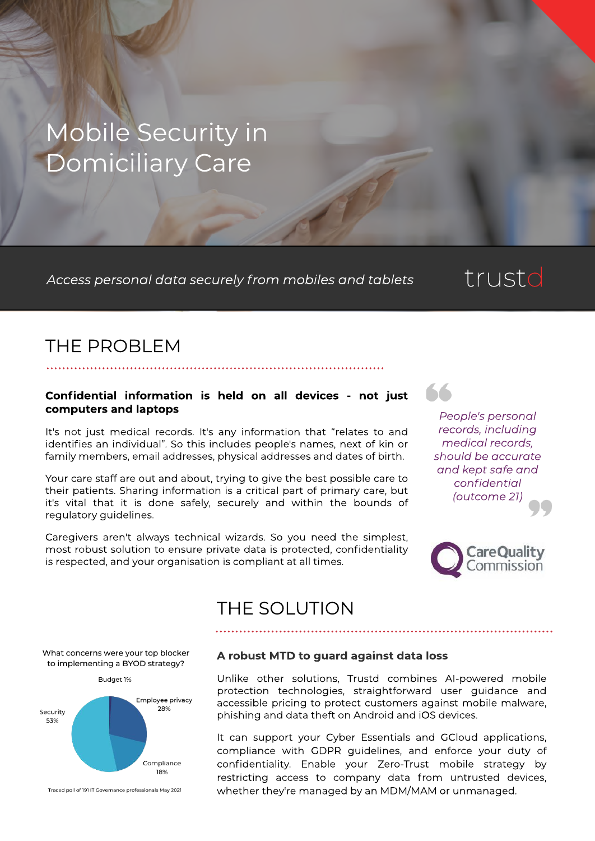# Mobile Security in Domiciliary Care

**Access personal data securely from m obiles and tablets**

# trustd

## THE PROBLEM

#### Confidential information is held on all devices - not just computers and laptops

It's not just medical records. It's any information that "relates to and identifies an individual". So this includes people's names, next of kin or family members, email addresses, physical addresses and dates of birth.

Your care staff are out and about, trying to give the best possible care to their patients. Sharing information is a critical part of primary care, but it's vital that it is done safely, securely and within the bounds of regulatory guidelines.

Caregivers aren't always technical wizards. So you need the simplest, most robust solution to ensure private data is protected, confidentiality is respected, and your organisation is compliant at all times.



66



### THE SOLUTION

What concerns were your top blocker to implementing a BYOD strategy?



Traced poll of 191 IT Governance professionals May 2021

#### A robust MTD to guard against data loss

Unlike other solutions, Trustd combines AI-powered mobile protection technologies, straightforward user guidance and accessible pricing to protect customers against mobile malware, phishing and data theft on Android and iOS devices.

It can support your Cyber Essentials and GCloud applications, compliance with GDPR quidelines, and enforce your duty of confidentiality. Enable your Zero-Trust mobile strategy by restricting access to company data from untrusted devices, whether they're managed by an MDM/MAM or unmanaged.